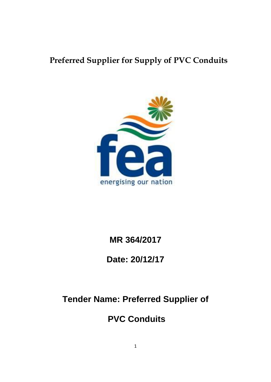# **Preferred Supplier for Supply of PVC Conduits**



# **MR 364/2017**

**Date: 20/12/17**

# **Tender Name: Preferred Supplier of**

# **PVC Conduits**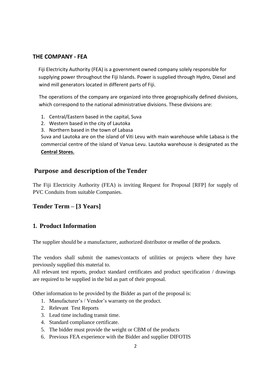#### **THE COMPANY - FEA**

Fiji Electricity Authority (FEA) is a government owned company solely responsible for supplying power throughout the Fiji Islands. Power is supplied through Hydro, Diesel and wind mill generators located in different parts of Fiji.

The operations of the company are organized into three geographically defined divisions, which correspond to the national administrative divisions. These divisions are:

- 1. Central/Eastern based in the capital, Suva
- 2. Western based in the city of Lautoka
- 3. Northern based in the town of Labasa

Suva and Lautoka are on the island of Viti Levu with main warehouse while Labasa is the commercial centre of the island of Vanua Levu. Lautoka warehouse is designated as the **Central Stores.**

## **Purpose and description of the Tender**

The Fiji Electricity Authority (FEA) is inviting Request for Proposal [RFP] for supply of PVC Conduits from suitable Companies.

### **Tender Term – [3 Years]**

### **1. Product Information**

The supplier should be a manufacturer, authorized distributor or reseller of the products.

The vendors shall submit the names/contacts of utilities or projects where they have previously supplied this material to.

All relevant test reports, product standard certificates and product specification / drawings are required to be supplied in the bid as part of their proposal.

Other information to be provided by the Bidder as part of the proposal is:

- 1. Manufacturer's / Vendor's warranty on the product.
- 2. Relevant Test Reports
- 3. Lead time including transit time.
- 4. Standard compliance certificate.
- 5. The bidder must provide the weight or CBM of the products
- 6. Previous FEA experience with the Bidder and supplier DIFOTIS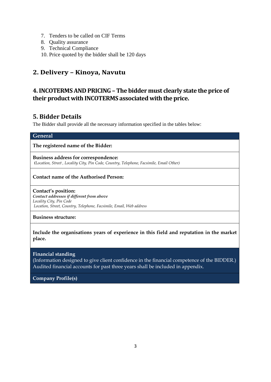- 7. Tenders to be called on CIF Terms
- 8. Quality assurance
- 9. Technical Compliance
- 10. Price quoted by the bidder shall be 120 days

# **2. Delivery – Kinoya, Navutu**

## **4. INCOTERMSAND PRICING– The bidder must clearly state the price of their product with INCOTERMS associated with the price.**

### **5. Bidder Details**

The Bidder shall provide all the necessary information specified in the tables below:

#### **General**

**The registered name of the Bidder:**

**Business address for correspondence:** *(Location, Street , Locality City, Pin Code, Country, Telephone, Facsimile, Email Other)*

#### **Contact name of the Authorised Person:**

**Contact's position:** *Contact addresses if different from above Locality City, Pin Code Location, Street, Country, Telephone, Facsimile, Email, Web address*

**Business structure:**

**Include the organisations years of experience in this field and reputation in the market place.**

**Financial standing**

(Information designed to give client confidence in the financial competence of the BIDDER.) Audited financial accounts for past three years shall be included in appendix.

**Company Profile(s)**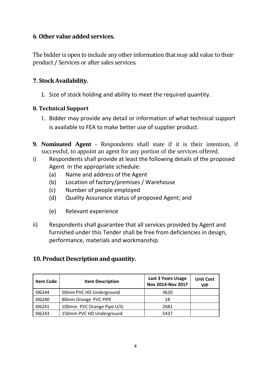# **6**. **Other value added services.**

The bidder is open to include any other information that may add value to their product / Services or after sales services.

# **7. Stock Availability.**

1. Size of stock holding and ability to meet the required quantity.

## **8. Technical Support**

- 1. Bidder may provide any detail or information of what technical support is available to FEA to make better use of supplier product.
- **9. Nominated Agent** Respondents shall state if it is their intention, if successful, to appoint an agent for any portion of the services offered.
- i) Respondents shall provide at least the following details of the proposed Agent in the appropriate schedule:
	- (a) Name and address of the Agent
	- (b) Location of factory/premises / Warehouse
	- (c) Number of people employed
	- (d) Quality Assurance status of proposed Agent; and
	- (e) Relevant experience
- ii) Respondents shall guarantee that all services provided by Agent and furnished under this Tender shall be free from deficiencies in design, performance, materials and workmanship.

# **10. Product Description and quantity.**

| <b>Item Code</b> | <b>Item Description</b>   | <b>Last 3 Years Usage</b><br>Nov 2014-Nov 2017 | <b>Unit Cost</b><br><b>VIP</b> |
|------------------|---------------------------|------------------------------------------------|--------------------------------|
| 106244           | 50mm PVC HD Underground   | 3620                                           |                                |
| 106240           | 80mm Orange PVC PIPE      | 18                                             |                                |
| 106241           | 100mm PVC Orange Pipe U/G | 2681                                           |                                |
| 106243           | 150mm PVC HD Underground  | 5437                                           |                                |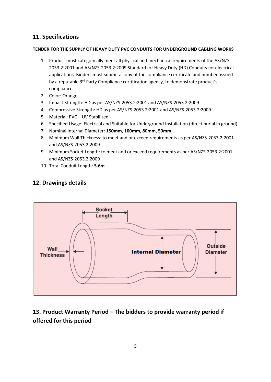## **11. Specifications**

#### **TENDER FOR THE SUPPLY OF HEAVY DUTY PVC CONDUITS FOR UNDERGROUND CABLING WORKS**

- 1. Product must categorically meet all physical and mechanical requirements of the AS/NZS-2053.2:2001 and AS/NZS-2053.2:2009 Standard for Heavy Duty (HD) Conduits for electrical applications. Bidders must submit a copy of the compliance certificate and number, issued by a reputable 3<sup>rd</sup> Party Compliance certification agency, to demonstrate product's compliance.
- 2. Color: Orange
- 3. Impact Strength: HD as per AS/NZS-2053.2:2001 and AS/NZS-2053.2:2009
- 4. Compressive Strength: HD as per AS/NZS-2053.2:2001 and AS/NZS-2053.2:2009
- 5. Material: PVC UV Stabilized
- 6. Specified Usage: Electrical and Suitable for Underground Installation (direct burial in ground)
- 7. Nominal Internal Diameter: **150mm, 100mm, 80mm, 50mm**
- 8. Minimum Wall Thickness: to meet and or exceed requirements as per AS/NZS-2053.2:2001 and AS/NZS-2053.2:2009
- 9. Minimum Socket Length: to meet and or exceed requirements as per AS/NZS-2053.2:2001 and AS/NZS-2053.2:2009
- 10. Total Conduit Length: **5.6m**

### **12. Drawings details**



# **13. Product Warranty Period – The bidders to provide warranty period if offered for this period**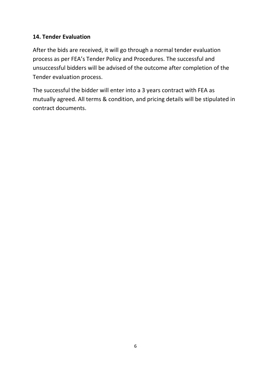## **14. Tender Evaluation**

After the bids are received, it will go through a normal tender evaluation process as per FEA's Tender Policy and Procedures. The successful and unsuccessful bidders will be advised of the outcome after completion of the Tender evaluation process.

The successful the bidder will enter into a 3 years contract with FEA as mutually agreed. All terms & condition, and pricing details will be stipulated in contract documents.